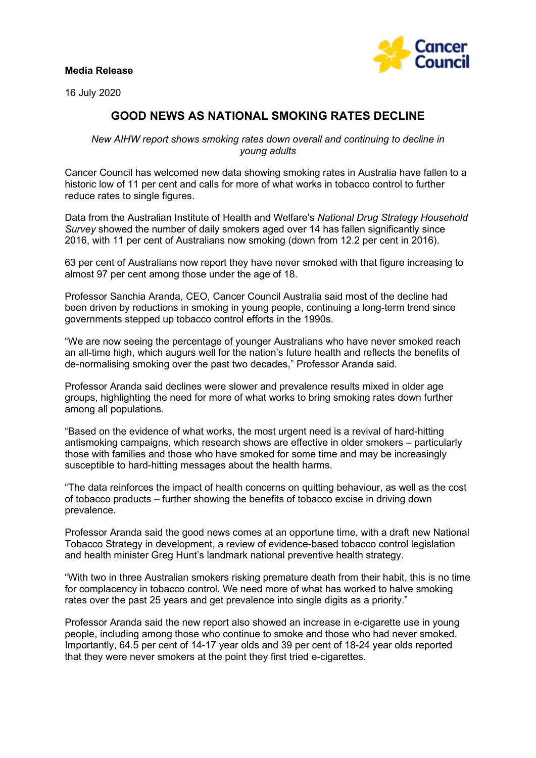## **Media Release**





## **GOOD NEWS AS NATIONAL SMOKING RATES DECLINE**

*New AIHW report shows smoking rates down overall and continuing to decline in young adults*

Cancer Council has welcomed new data showing smoking rates in Australia have fallen to a historic low of 11 per cent and calls for more of what works in tobacco control to further reduce rates to single figures.

Data from the Australian Institute of Health and Welfare's *National Drug Strategy Household Survey* showed the number of daily smokers aged over 14 has fallen significantly since 2016, with 11 per cent of Australians now smoking (down from 12.2 per cent in 2016).

63 per cent of Australians now report they have never smoked with that figure increasing to almost 97 per cent among those under the age of 18.

Professor Sanchia Aranda, CEO, Cancer Council Australia said most of the decline had been driven by reductions in smoking in young people, continuing a long-term trend since governments stepped up tobacco control efforts in the 1990s.

"We are now seeing the percentage of younger Australians who have never smoked reach an all-time high, which augurs well for the nation's future health and reflects the benefits of de-normalising smoking over the past two decades," Professor Aranda said.

Professor Aranda said declines were slower and prevalence results mixed in older age groups, highlighting the need for more of what works to bring smoking rates down further among all populations.

"Based on the evidence of what works, the most urgent need is a revival of hard-hitting antismoking campaigns, which research shows are effective in older smokers – particularly those with families and those who have smoked for some time and may be increasingly susceptible to hard-hitting messages about the health harms.

"The data reinforces the impact of health concerns on quitting behaviour, as well as the cost of tobacco products – further showing the benefits of tobacco excise in driving down prevalence.

Professor Aranda said the good news comes at an opportune time, with a draft new National Tobacco Strategy in development, a review of evidence-based tobacco control legislation and health minister Greg Hunt's landmark national preventive health strategy.

"With two in three Australian smokers risking premature death from their habit, this is no time for complacency in tobacco control. We need more of what has worked to halve smoking rates over the past 25 years and get prevalence into single digits as a priority."

Professor Aranda said the new report also showed an increase in e-cigarette use in young people, including among those who continue to smoke and those who had never smoked. Importantly, 64.5 per cent of 14-17 year olds and 39 per cent of 18-24 year olds reported that they were never smokers at the point they first tried e-cigarettes.